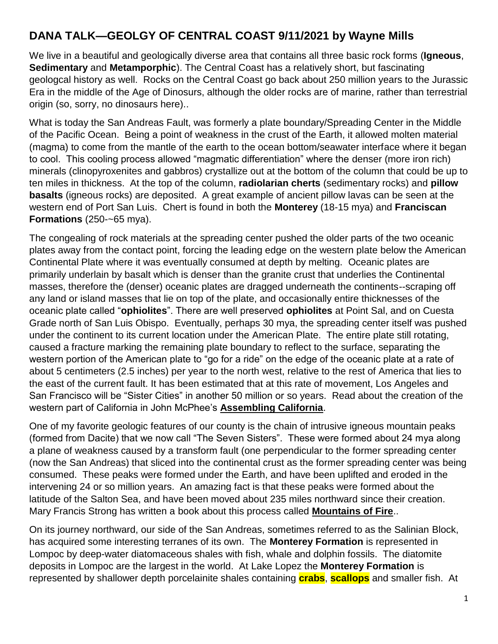# **DANA TALK—GEOLGY OF CENTRAL COAST 9/11/2021 by Wayne Mills**

We live in a beautiful and geologically diverse area that contains all three basic rock forms (**Igneous**, **Sedimentary** and **Metamporphic**). The Central Coast has a relatively short, but fascinating geologcal history as well. Rocks on the Central Coast go back about 250 million years to the Jurassic Era in the middle of the Age of Dinosurs, although the older rocks are of marine, rather than terrestrial origin (so, sorry, no dinosaurs here)..

What is today the San Andreas Fault, was formerly a plate boundary/Spreading Center in the Middle of the Pacific Ocean. Being a point of weakness in the crust of the Earth, it allowed molten material (magma) to come from the mantle of the earth to the ocean bottom/seawater interface where it began to cool. This cooling process allowed "magmatic differentiation" where the denser (more iron rich) minerals (clinopyroxenites and gabbros) crystallize out at the bottom of the column that could be up to ten miles in thickness. At the top of the column, **radiolarian cherts** (sedimentary rocks) and **pillow basalts** (igneous rocks) are deposited. A great example of ancient pillow lavas can be seen at the western end of Port San Luis. Chert is found in both the **Monterey** (18-15 mya) and **Franciscan Formations** (250-~65 mya).

The congealing of rock materials at the spreading center pushed the older parts of the two oceanic plates away from the contact point, forcing the leading edge on the western plate below the American Continental Plate where it was eventually consumed at depth by melting. Oceanic plates are primarily underlain by basalt which is denser than the granite crust that underlies the Continental masses, therefore the (denser) oceanic plates are dragged underneath the continents--scraping off any land or island masses that lie on top of the plate, and occasionally entire thicknesses of the oceanic plate called "**ophiolites**". There are well preserved **ophiolites** at Point Sal, and on Cuesta Grade north of San Luis Obispo. Eventually, perhaps 30 mya, the spreading center itself was pushed under the continent to its current location under the American Plate. The entire plate still rotating, caused a fracture marking the remaining plate boundary to reflect to the surface, separating the western portion of the American plate to "go for a ride" on the edge of the oceanic plate at a rate of about 5 centimeters (2.5 inches) per year to the north west, relative to the rest of America that lies to the east of the current fault. It has been estimated that at this rate of movement, Los Angeles and San Francisco will be "Sister Cities" in another 50 million or so years. Read about the creation of the western part of California in John McPhee's **Assembling California**.

One of my favorite geologic features of our county is the chain of intrusive igneous mountain peaks (formed from Dacite) that we now call "The Seven Sisters". These were formed about 24 mya along a plane of weakness caused by a transform fault (one perpendicular to the former spreading center (now the San Andreas) that sliced into the continental crust as the former spreading center was being consumed. These peaks were formed under the Earth, and have been uplifted and eroded in the intervening 24 or so million years. An amazing fact is that these peaks were formed about the latitude of the Salton Sea, and have been moved about 235 miles northward since their creation. Mary Francis Strong has written a book about this process called **Mountains of Fire**..

On its journey northward, our side of the San Andreas, sometimes referred to as the Salinian Block, has acquired some interesting terranes of its own. The **Monterey Formation** is represented in Lompoc by deep-water diatomaceous shales with fish, whale and dolphin fossils. The diatomite deposits in Lompoc are the largest in the world. At Lake Lopez the **Monterey Formation** is represented by shallower depth porcelainite shales containing **crabs**, **scallops** and smaller fish. At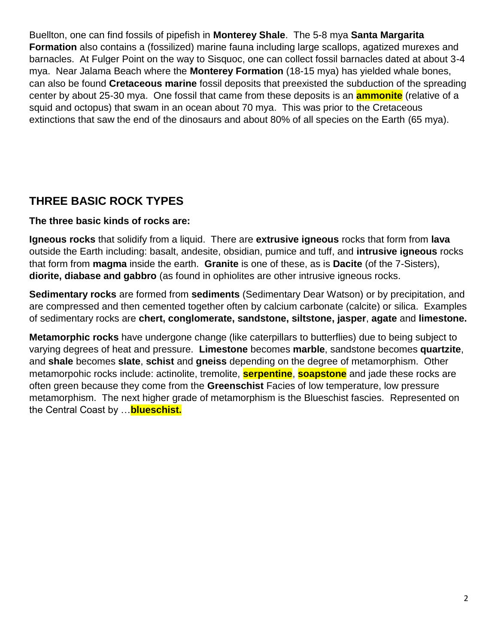Buellton, one can find fossils of pipefish in **Monterey Shale**. The 5-8 mya **Santa Margarita Formation** also contains a (fossilized) marine fauna including large scallops, agatized murexes and barnacles. At Fulger Point on the way to Sisquoc, one can collect fossil barnacles dated at about 3-4 mya. Near Jalama Beach where the **Monterey Formation** (18-15 mya) has yielded whale bones, can also be found **Cretaceous marine** fossil deposits that preexisted the subduction of the spreading center by about 25-30 mya. One fossil that came from these deposits is an **ammonite** (relative of a squid and octopus) that swam in an ocean about 70 mya. This was prior to the Cretaceous extinctions that saw the end of the dinosaurs and about 80% of all species on the Earth (65 mya).

### **THREE BASIC ROCK TYPES**

#### **The three basic kinds of rocks are:**

**Igneous rocks** that solidify from a liquid. There are **extrusive igneous** rocks that form from **lava**  outside the Earth including: basalt, andesite, obsidian, pumice and tuff, and **intrusive igneous** rocks that form from **magma** inside the earth. **Granite** is one of these, as is **Dacite** (of the 7-Sisters), **diorite, diabase and gabbro** (as found in ophiolites are other intrusive igneous rocks.

**Sedimentary rocks** are formed from **sediments** (Sedimentary Dear Watson) or by precipitation, and are compressed and then cemented together often by calcium carbonate (calcite) or silica. Examples of sedimentary rocks are **chert, conglomerate, sandstone, siltstone, jasper**, **agate** and **limestone.**

**Metamorphic rocks** have undergone change (like caterpillars to butterflies) due to being subject to varying degrees of heat and pressure. **Limestone** becomes **marble**, sandstone becomes **quartzite**, and **shale** becomes **slate**, **schist** and **gneiss** depending on the degree of metamorphism. Other metamorpohic rocks include: actinolite, tremolite, **serpentine**, **soapstone** and jade these rocks are often green because they come from the **Greenschist** Facies of low temperature, low pressure metamorphism. The next higher grade of metamorphism is the Blueschist fascies. Represented on the Central Coast by …**blueschist.**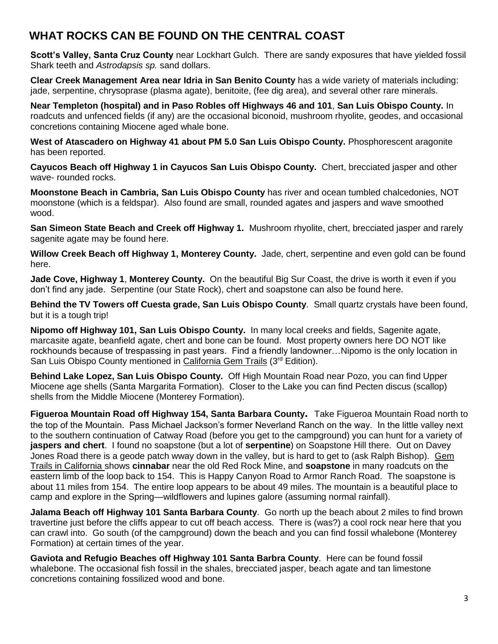### **WHAT ROCKS CAN BE FOUND ON THE CENTRAL COAST**

**Scott's Valley, Santa Cruz County** near Lockhart Gulch. There are sandy exposures that have yielded fossil Shark teeth and *Astrodapsis sp.* sand dollars.

**Clear Creek Management Area near Idria in San Benito County** has a wide variety of materials including: jade, serpentine, chrysoprase (plasma agate), benitoite, (fee dig area), and several other rare minerals.

**Near Templeton (hospital) and in Paso Robles off Highways 46 and 101**, **San Luis Obispo County.** In roadcuts and unfenced fields (if any) are the occasional biconoid, mushroom rhyolite, geodes, and occasional concretions containing Miocene aged whale bone.

**West of Atascadero on Highway 41 about PM 5.0 San Luis Obispo County.** Phosphorescent aragonite has been reported.

**Cayucos Beach off Highway 1 in Cayucos San Luis Obispo County.** Chert, brecciated jasper and other wave- rounded rocks.

**Moonstone Beach in Cambria, San Luis Obispo County** has river and ocean tumbled chalcedonies, NOT moonstone (which is a feldspar). Also found are small, rounded agates and jaspers and wave smoothed wood.

**San Simeon State Beach and Creek off Highway 1.** Mushroom rhyolite, chert, brecciated jasper and rarely sagenite agate may be found here.

**Willow Creek Beach off Highway 1, Monterey County.** Jade, chert, serpentine and even gold can be found here.

**Jade Cove, Highway 1**, **Monterey County.** On the beautiful Big Sur Coast, the drive is worth it even if you don't find any jade. Serpentine (our State Rock), chert and soapstone can also be found here.

**Behind the TV Towers off Cuesta grade, San Luis Obispo County**. Small quartz crystals have been found, but it is a tough trip!

**Nipomo off Highway 101, San Luis Obispo County.** In many local creeks and fields, Sagenite agate, marcasite agate, beanfield agate, chert and bone can be found. Most property owners here DO NOT like rockhounds because of trespassing in past years. Find a friendly landowner...Nipomo is the only location in San Luis Obispo County mentioned in California Gem Trails (3rd Edition).

**Behind Lake Lopez, San Luis Obispo County.** Off High Mountain Road near Pozo, you can find Upper Miocene age shells (Santa Margarita Formation). Closer to the Lake you can find Pecten discus (scallop) shells from the Middle Miocene (Monterey Formation).

**Figueroa Mountain Road off Highway 154, Santa Barbara County.** Take Figueroa Mountain Road north to the top of the Mountain. Pass Michael Jackson's former Neverland Ranch on the way. In the little valley next to the southern continuation of Catway Road (before you get to the campground) you can hunt for a variety of **jaspers and chert**. I found no soapstone (but a lot of **serpentine**) on Soapstone Hill there. Out on Davey Jones Road there is a geode patch wway down in the valley, but is hard to get to (ask Ralph Bishop). Gem Trails in California shows **cinnabar** near the old Red Rock Mine, and **soapstone** in many roadcuts on the eastern limb of the loop back to 154. This is Happy Canyon Road to Armor Ranch Road. The soapstone is about 11 miles from 154. The entire loop appears to be about 49 miles. The mountain is a beautiful place to camp and explore in the Spring—wildflowers and lupines galore (assuming normal rainfall).

**Jalama Beach off Highway 101 Santa Barbara County**. Go north up the beach about 2 miles to find brown travertine just before the cliffs appear to cut off beach access. There is (was?) a cool rock near here that you can crawl into. Go south (of the campground) down the beach and you can find fossil whalebone (Monterey Formation) at certain times of the year.

**Gaviota and Refugio Beaches off Highway 101 Santa Barbra County**. Here can be found fossil whalebone. The occasional fish fossil in the shales, brecciated jasper, beach agate and tan limestone concretions containing fossilized wood and bone.